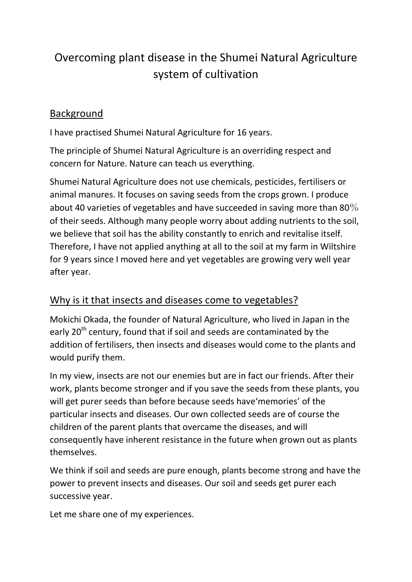## Overcoming plant disease in the Shumei Natural Agriculture system of cultivation

## Background

I have practised Shumei Natural Agriculture for 16 years.

The principle of Shumei Natural Agriculture is an overriding respect and concern for Nature. Nature can teach us everything.

Shumei Natural Agriculture does not use chemicals, pesticides, fertilisers or animal manures. It focuses on saving seeds from the crops grown. I produce about 40 varieties of vegetables and have succeeded in saving more than 80% of their seeds. Although many people worry about adding nutrients to the soil, we believe that soil has the ability constantly to enrich and revitalise itself. Therefore, I have not applied anything at all to the soil at my farm in Wiltshire for 9 years since I moved here and yet vegetables are growing very well year after year.

## Why is it that insects and diseases come to vegetables?

Mokichi Okada, the founder of Natural Agriculture, who lived in Japan in the early 20<sup>th</sup> century, found that if soil and seeds are contaminated by the addition of fertilisers, then insects and diseases would come to the plants and would purify them.

In my view, insects are not our enemies but are in fact our friends. After their work, plants become stronger and if you save the seeds from these plants, you will get purer seeds than before because seeds have'memories' of the particular insects and diseases. Our own collected seeds are of course the children of the parent plants that overcame the diseases, and will consequently have inherent resistance in the future when grown out as plants themselves.

We think if soil and seeds are pure enough, plants become strong and have the power to prevent insects and diseases. Our soil and seeds get purer each successive year.

Let me share one of my experiences.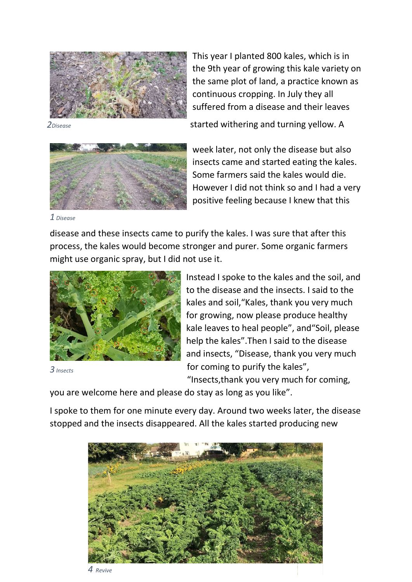

2Disease

started withering and turning yellow. A

suffered from a disease and their leaves

continuous cropping. In July they all

This year I planted 800 kales, which is in the 9th year of growing this kale variety on the same plot of land, a practice known as



week later, not only the disease but also insects came and started eating the kales. Some farmers said the kales would die. However I did not think so and I had a very positive feeling because I knew that this

disease and these insects came to purify the kales. I was sure that after this process, the kales would become stronger and purer. Some organic farmers might use organic spray, but I did not use it.



iot use it.<br>Instead I spoke to the kales and the soil, and to the disease and the insects. I said to the kales and soil, "Kales, thank you very much for growing, now please produce healthy kale leaves to heal people", and "Soil, please help the kales". Then I said to the disease and insects, "Disease, thank you very much for coming to purify the kales", "Insects,thank you very much for coming,

3 Insects

you are welcome here and please do stay as long as you like".

I spoke to them for one minute every day. Around two weeks later, the disease stopped and the insects disappeared. All the kales started producing new



4 Revive

<sup>1</sup> Disease